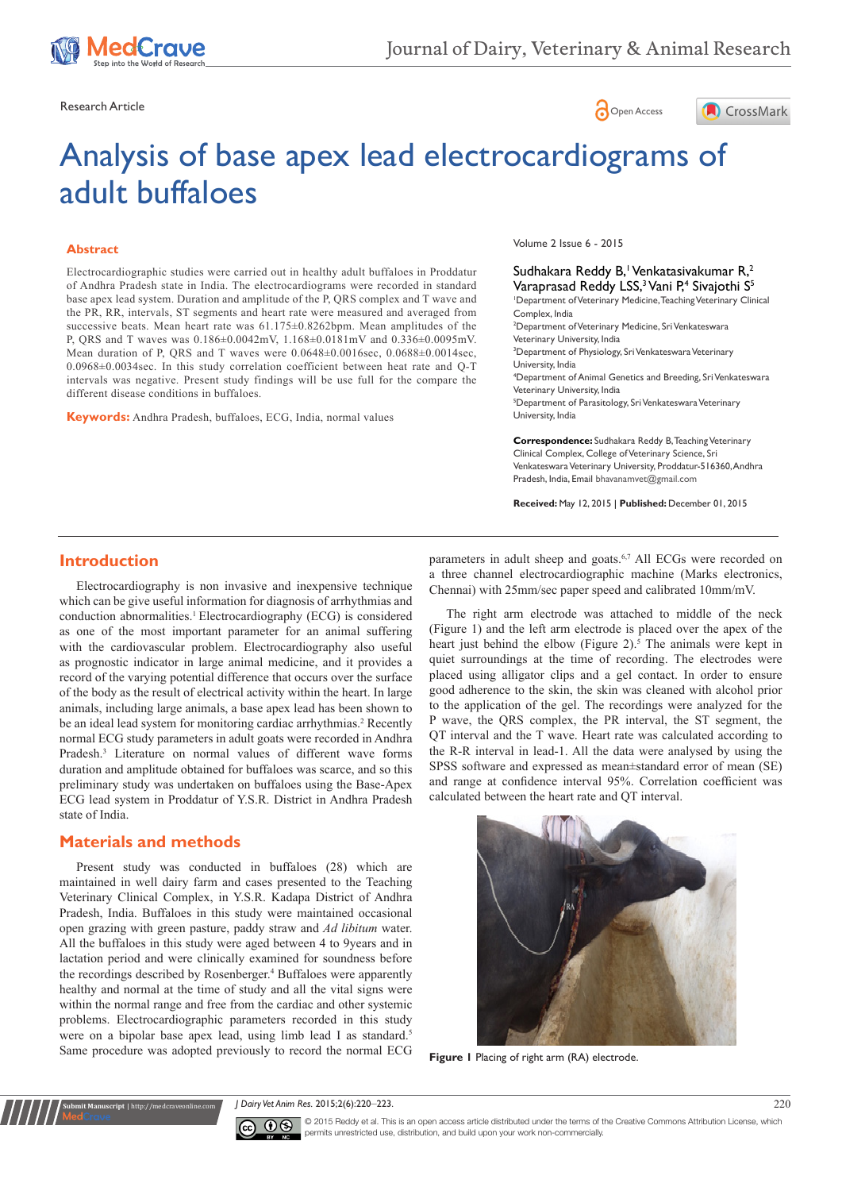

Research Article **Contracts** Contracts and Contracts Contracts Contracts Contracts Contracts Contracts Contracts Contracts Contracts Contracts Contracts Contracts Contracts Contracts Contracts Contracts Contracts Contracts



# Analysis of base apex lead electrocardiograms of adult buffaloes

#### **Abstract**

Electrocardiographic studies were carried out in healthy adult buffaloes in Proddatur of Andhra Pradesh state in India. The electrocardiograms were recorded in standard base apex lead system. Duration and amplitude of the P, QRS complex and T wave and the PR, RR, intervals, ST segments and heart rate were measured and averaged from successive beats. Mean heart rate was  $61.175\pm0.8262$ bpm. Mean amplitudes of the P, QRS and T waves was 0.186±0.0042mV, 1.168±0.0181mV and 0.336±0.0095mV. Mean duration of P, QRS and T waves were 0.0648±0.0016sec, 0.0688±0.0014sec, 0.0968±0.0034sec. In this study correlation coefficient between heat rate and Q-T intervals was negative. Present study findings will be use full for the compare the different disease conditions in buffaloes.

**Keywords:** Andhra Pradesh, buffaloes, ECG, India, normal values

Volume 2 Issue 6 - 2015

#### Sudhakara Reddy B,<sup>1</sup> Venkatasivakumar R,<sup>2</sup> Varaprasad Reddy LSS,<sup>3</sup> Vani P,<sup>4</sup> Sivajothi S<sup>5</sup> 1 Department of Veterinary Medicine, Teaching Veterinary Clinical Complex, India 2 Department of Veterinary Medicine, Sri Venkateswara Veterinary University, India 3 Department of Physiology, Sri Venkateswara Veterinary University, India 4 Department of Animal Genetics and Breeding, Sri Venkateswara Veterinary University, India 5 Department of Parasitology, Sri Venkateswara Veterinary University, India **Correspondence:** Sudhakara Reddy B, Teaching Veterinary

Clinical Complex, College of Veterinary Science, Sri Venkateswara Veterinary University, Proddatur-516360, Andhra Pradesh, India, Email bhavanamvet@gmail.com

**Received:** May 12, 2015 | **Published:** December 01, 2015

### **Introduction**

Electrocardiography is non invasive and inexpensive technique which can be give useful information for diagnosis of arrhythmias and conduction abnormalities.<sup>1</sup> Electrocardiography (ECG) is considered as one of the most important parameter for an animal suffering with the cardiovascular problem. Electrocardiography also useful as prognostic indicator in large animal medicine, and it provides a record of the varying potential difference that occurs over the surface of the body as the result of electrical activity within the heart. In large animals, including large animals, a base apex lead has been shown to be an ideal lead system for monitoring cardiac arrhythmias.<sup>2</sup> Recently normal ECG study parameters in adult goats were recorded in Andhra Pradesh.<sup>3</sup> Literature on normal values of different wave forms duration and amplitude obtained for buffaloes was scarce, and so this preliminary study was undertaken on buffaloes using the Base-Apex ECG lead system in Proddatur of Y.S.R. District in Andhra Pradesh state of India.

## **Materials and methods**

**Submit Manuscript** | http://medcraveonline.com

Present study was conducted in buffaloes (28) which are maintained in well dairy farm and cases presented to the Teaching Veterinary Clinical Complex, in Y.S.R. Kadapa District of Andhra Pradesh, India. Buffaloes in this study were maintained occasional open grazing with green pasture, paddy straw and *Ad libitum* water. All the buffaloes in this study were aged between 4 to 9years and in lactation period and were clinically examined for soundness before the recordings described by Rosenberger.<sup>4</sup> Buffaloes were apparently healthy and normal at the time of study and all the vital signs were within the normal range and free from the cardiac and other systemic problems. Electrocardiographic parameters recorded in this study were on a bipolar base apex lead, using limb lead I as standard.<sup>5</sup> Same procedure was adopted previously to record the normal ECG

parameters in adult sheep and goats.<sup>6,7</sup> All ECGs were recorded on a three channel electrocardiographic machine (Marks electronics, Chennai) with 25mm/sec paper speed and calibrated 10mm/mV.

The right arm electrode was attached to middle of the neck (Figure 1) and the left arm electrode is placed over the apex of the heart just behind the elbow (Figure 2).<sup>5</sup> The animals were kept in quiet surroundings at the time of recording. The electrodes were placed using alligator clips and a gel contact. In order to ensure good adherence to the skin, the skin was cleaned with alcohol prior to the application of the gel. The recordings were analyzed for the P wave, the QRS complex, the PR interval, the ST segment, the QT interval and the T wave. Heart rate was calculated according to the R-R interval in lead-1. All the data were analysed by using the SPSS software and expressed as mean±standard error of mean (SE) and range at confidence interval 95%. Correlation coefficient was calculated between the heart rate and QT interval.



**Figure 1** Placing of right arm (RA) electrode.

*J Dairy Vet Anim Res.* 2015;2(6):220‒223. 220



© 2015 Reddy et al. This is an open access article distributed under the terms of the [Creative Commons Attribution License,](https://creativecommons.org/licenses/by-nc/4.0/) which permits unrestricted use, distribution, and build upon your work non-commercially.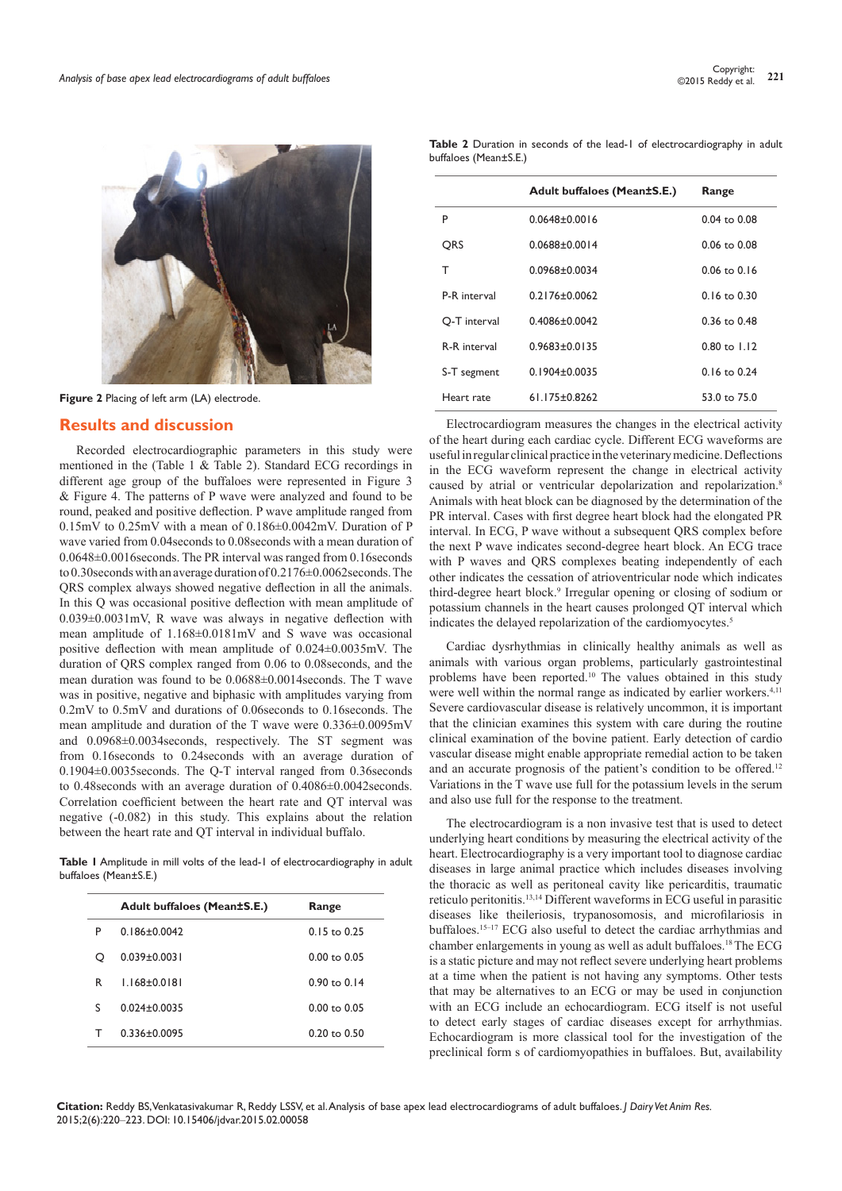

**Figure 2** Placing of left arm (LA) electrode.

# **Results and discussion**

Recorded electrocardiographic parameters in this study were mentioned in the (Table 1 & Table 2). Standard ECG recordings in different age group of the buffaloes were represented in Figure 3 & Figure 4. The patterns of P wave were analyzed and found to be round, peaked and positive deflection. P wave amplitude ranged from 0.15mV to 0.25mV with a mean of 0.186±0.0042mV. Duration of P wave varied from 0.04seconds to 0.08seconds with a mean duration of 0.0648±0.0016seconds. The PR interval was ranged from 0.16seconds to 0.30seconds with an average duration of 0.2176±0.0062seconds. The QRS complex always showed negative deflection in all the animals. In this Q was occasional positive deflection with mean amplitude of 0.039±0.0031mV, R wave was always in negative deflection with mean amplitude of 1.168±0.0181mV and S wave was occasional positive deflection with mean amplitude of 0.024±0.0035mV. The duration of QRS complex ranged from 0.06 to 0.08seconds, and the mean duration was found to be 0.0688±0.0014seconds. The T wave was in positive, negative and biphasic with amplitudes varying from 0.2mV to 0.5mV and durations of 0.06seconds to 0.16seconds. The mean amplitude and duration of the T wave were 0.336±0.0095mV and 0.0968±0.0034seconds, respectively. The ST segment was from 0.16seconds to 0.24seconds with an average duration of 0.1904±0.0035seconds. The Q-T interval ranged from 0.36seconds to 0.48seconds with an average duration of 0.4086±0.0042seconds. Correlation coefficient between the heart rate and QT interval was negative (-0.082) in this study. This explains about the relation between the heart rate and QT interval in individual buffalo.

**Table 1** Amplitude in mill volts of the lead-1 of electrocardiography in adult buffaloes (Mean±S.E.)

|   | Adult buffaloes (Mean±S.E.) | Range                   |
|---|-----------------------------|-------------------------|
| P | $0.186 + 0.0042$            | $0.15$ to 0.25          |
| O | $0.039 + 0.0031$            | $0.00 \text{ to } 0.05$ |
| R | $1.168 + 0.0181$            | $0.90 \text{ to } 0.14$ |
| S | $0.024 + 0.0035$            | $0.00 \text{ to } 0.05$ |
| т | 0.336+0.0095                | $0.20 \text{ to } 0.50$ |

**Table 2** Duration in seconds of the lead-1 of electrocardiography in adult buffaloes (Mean±S.E.)

|              | Adult buffaloes (Mean±S.E.) | Range            |
|--------------|-----------------------------|------------------|
| P            | $0.0648\pm0.0016$           | $0.04$ to $0.08$ |
| ORS          | $0.0688 \pm 0.0014$         | $0.06$ to $0.08$ |
| т            | $0.0968 \pm 0.0034$         | $0.06$ to $0.16$ |
| P-R interval | $0.2176 + 0.0062$           | $0.16$ to $0.30$ |
| O-T interval | $0.4086 \pm 0.0042$         | $0.36$ to $0.48$ |
| R-R interval | $0.9683 \pm 0.0135$         | $0.80$ to $1.12$ |
| S-T segment  | $0.1904\pm0.0035$           | $0.16$ to $0.24$ |
| Heart rate   | $61.175 \pm 0.8262$         | 53.0 to 75.0     |

Electrocardiogram measures the changes in the electrical activity of the heart during each cardiac cycle. Different ECG waveforms are useful in regular clinical practice in the veterinary medicine. Deflections in the ECG waveform represent the change in electrical activity caused by atrial or ventricular depolarization and repolarization.<sup>8</sup> Animals with heat block can be diagnosed by the determination of the PR interval. Cases with first degree heart block had the elongated PR interval. In ECG, P wave without a subsequent QRS complex before the next P wave indicates second-degree heart block. An ECG trace with P waves and QRS complexes beating independently of each other indicates the cessation of atrioventricular node which indicates third-degree heart block.9 Irregular opening or closing of sodium or potassium channels in the heart causes prolonged QT interval which indicates the delayed repolarization of the cardiomyocytes.<sup>5</sup>

Cardiac dysrhythmias in clinically healthy animals as well as animals with various organ problems, particularly gastrointestinal problems have been reported.10 The values obtained in this study were well within the normal range as indicated by earlier workers.<sup>4,11</sup> Severe cardiovascular disease is relatively uncommon, it is important that the clinician examines this system with care during the routine clinical examination of the bovine patient. Early detection of cardio vascular disease might enable appropriate remedial action to be taken and an accurate prognosis of the patient's condition to be offered.<sup>12</sup> Variations in the T wave use full for the potassium levels in the serum and also use full for the response to the treatment.

The electrocardiogram is a non invasive test that is used to detect underlying heart conditions by measuring the electrical activity of the heart. Electrocardiography is a very important tool to diagnose cardiac diseases in large animal practice which includes diseases involving the thoracic as well as peritoneal cavity like pericarditis, traumatic reticulo peritonitis.13,14 Different waveforms in ECG useful in parasitic diseases like theileriosis, trypanosomosis, and microfilariosis in buffaloes.<sup>15-17</sup> ECG also useful to detect the cardiac arrhythmias and chamber enlargements in young as well as adult buffaloes.18 The ECG is a static picture and may not reflect severe underlying heart problems at a time when the patient is not having any symptoms. Other tests that may be alternatives to an ECG or may be used in conjunction with an ECG include an echocardiogram. ECG itself is not useful to detect early stages of cardiac diseases except for arrhythmias. Echocardiogram is more classical tool for the investigation of the preclinical form s of cardiomyopathies in buffaloes. But, availability

**Citation:** Reddy BS, Venkatasivakumar R, Reddy LSSV, et al. Analysis of base apex lead electrocardiograms of adult buffaloes. *J Dairy Vet Anim Res.* 2015;2(6):220‒223. DOI: [10.15406/jdvar.2015.02.00058](https://doi.org/10.15406/jdvar.2015.02.00058)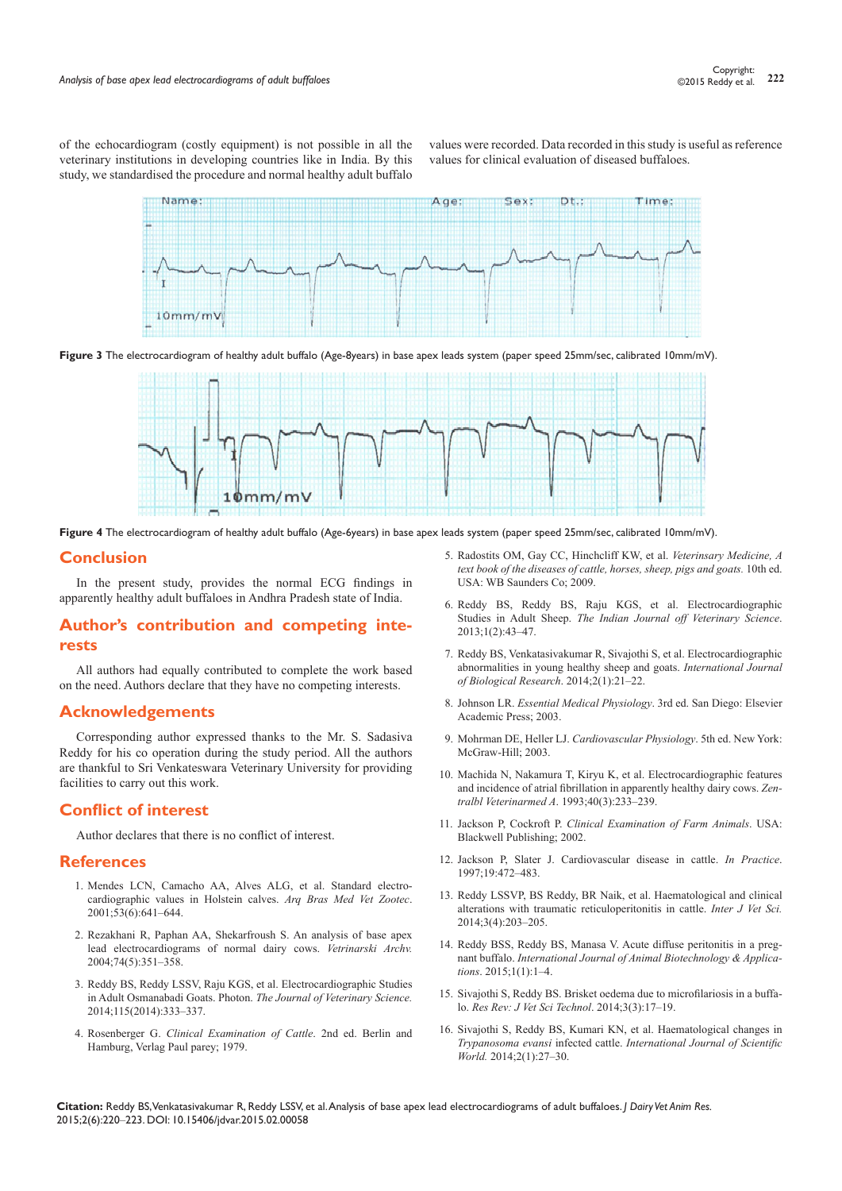of the echocardiogram (costly equipment) is not possible in all the veterinary institutions in developing countries like in India. By this study, we standardised the procedure and normal healthy adult buffalo

values were recorded. Data recorded in this study is useful as reference values for clinical evaluation of diseased buffaloes.







**Figure 4** The electrocardiogram of healthy adult buffalo (Age-6years) in base apex leads system (paper speed 25mm/sec, calibrated 10mm/mV).

#### **Conclusion**

In the present study, provides the normal ECG findings in apparently healthy adult buffaloes in Andhra Pradesh state of India.

# **Author's contribution and competing interests**

All authors had equally contributed to complete the work based on the need. Authors declare that they have no competing interests.

#### **Acknowledgements**

Corresponding author expressed thanks to the Mr. S. Sadasiva Reddy for his co operation during the study period. All the authors are thankful to Sri Venkateswara Veterinary University for providing facilities to carry out this work.

## **Conflict of interest**

Author declares that there is no conflict of interest.

#### **References**

- 1. [Mendes LCN, Camacho AA, Alves ALG, et al. Standard electro](http://www.scielo.br/scielo.php?script=sci_arttext&pid=S0102-09352001000600002)[cardiographic values in Holstein calves.](http://www.scielo.br/scielo.php?script=sci_arttext&pid=S0102-09352001000600002) *Arq Bras Med Vet Zootec*. [2001;53\(6\):641‒644.](http://www.scielo.br/scielo.php?script=sci_arttext&pid=S0102-09352001000600002)
- 2. [Rezakhani R, Paphan AA, Shekarfroush S. An analysis of base apex](http://www-staro.vef.unizg.hr/vetarhiv/papers/2004-74-5-4.pdf)  [lead electrocardiograms of normal dairy cows.](http://www-staro.vef.unizg.hr/vetarhiv/papers/2004-74-5-4.pdf) *Vetrinarski Archv.*  [2004;74\(5\):351‒358.](http://www-staro.vef.unizg.hr/vetarhiv/papers/2004-74-5-4.pdf)
- 3. Reddy BS, Reddy LSSV, Raju KGS, et al. Electrocardiographic Studies in Adult Osmanabadi Goats. Photon. *The Journal of Veterinary Science.* 2014;115(2014):333‒337.
- 4. Rosenberger G. *Clinical Examination of Cattle*. 2nd ed. Berlin and Hamburg, Verlag Paul parey; 1979.
- 5. Radostits OM, Gay CC, Hinchcliff KW, et al. *Veterinsary Medicine, A text book of the diseases of cattle, horses, sheep, pigs and goats.* 10th ed. USA: WB Saunders Co; 2009.
- 6. Reddy BS, Reddy BS, Raju KGS, et al. Electrocardiographic Studies in Adult Sheep. *The Indian Journal off Veterinary Science*. 2013;1(2):43‒47.
- 7. [Reddy BS, Venkatasivakumar R, Sivajothi S, et al. Electrocardiographic](http://www.sciencepubco.com/index.php/IJBR/article/view/2252)  [abnormalities in young healthy sheep and goats.](http://www.sciencepubco.com/index.php/IJBR/article/view/2252) *International Journal [of Biological Research](http://www.sciencepubco.com/index.php/IJBR/article/view/2252)*. 2014;2(1):21‒22.
- 8. Johnson LR. *Essential Medical Physiology*. 3rd ed. San Diego: Elsevier Academic Press; 2003.
- 9. Mohrman DE, Heller LJ. *Cardiovascular Physiology*. 5th ed. New York: McGraw-Hill; 2003.
- 10. [Machida N, Nakamura T, Kiryu K, et al. Electrocardiographic features](http://www.ncbi.nlm.nih.gov/pubmed/8328231)  [and incidence of atrial fibrillation in apparently healthy dairy cows.](http://www.ncbi.nlm.nih.gov/pubmed/8328231) *Zentralbl Veterinarmed A*[. 1993;40\(3\):233‒239.](http://www.ncbi.nlm.nih.gov/pubmed/8328231)
- 11. Jackson P, Cockroft P. *[Clinical Examination of Farm Animals](http://onlinelibrary.wiley.com/book/10.1002/9780470752425)*. USA: [Blackwell Publishing; 2002.](http://onlinelibrary.wiley.com/book/10.1002/9780470752425)
- 12. [Jackson P, Slater J. Cardiovascular disease in cattle.](http://inpractice.bmj.com/content/19/9/472.abstract) *In Practice*. [1997;19:472‒483.](http://inpractice.bmj.com/content/19/9/472.abstract)
- 13. [Reddy LSSVP, BS Reddy, BR Naik, et al. Haematological and clinical](http://www.ijvets.com/pdf-files/Volume-3-no-4-2014/203-205.pdf)  [alterations with traumatic reticuloperitonitis in cattle.](http://www.ijvets.com/pdf-files/Volume-3-no-4-2014/203-205.pdf) *Inter J Vet Sci.* [2014;3\(4\):203‒205.](http://www.ijvets.com/pdf-files/Volume-3-no-4-2014/203-205.pdf)
- 14. Reddy BSS, Reddy BS, Manasa V. Acute diffuse peritonitis in a pregnant buffalo. *International Journal of Animal Biotechnology & Applications*. 2015;1(1):1‒4.
- 15. Sivajothi S, Reddy BS. Brisket oedema due to microfilariosis in a buffalo. *Res Rev: J Vet Sci Technol*. 2014;3(3):17‒19.
- 16. [Sivajothi S, Reddy BS, Kumari KN, et al. Haematological changes in](http://www.sciencepubco.com/ojs245/index.php/IJSW/article/view/2275/1163)  *Trypanosoma evansi* infected cattle. *[International Journal of Scientific](http://www.sciencepubco.com/ojs245/index.php/IJSW/article/view/2275/1163)  World.* [2014;2\(1\):27‒30.](http://www.sciencepubco.com/ojs245/index.php/IJSW/article/view/2275/1163)

**Citation:** Reddy BS, Venkatasivakumar R, Reddy LSSV, et al. Analysis of base apex lead electrocardiograms of adult buffaloes. *J Dairy Vet Anim Res.* 2015;2(6):220‒223. DOI: [10.15406/jdvar.2015.02.00058](https://doi.org/10.15406/jdvar.2015.02.00058)